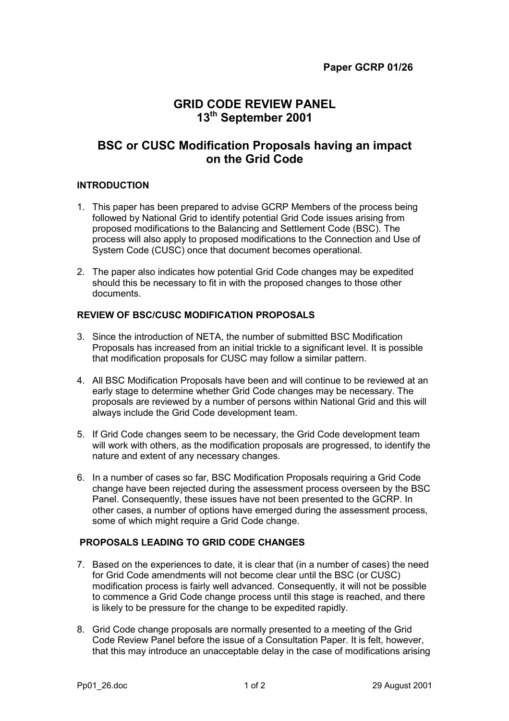# **GRID CODE REVIEW PANEL 13th September 2001**

# **BSC or CUSC Modification Proposals having an impact on the Grid Code**

#### **INTRODUCTION**

- 1. This paper has been prepared to advise GCRP Members of the process being followed by National Grid to identify potential Grid Code issues arising from proposed modifications to the Balancing and Settlement Code (BSC). The process will also apply to proposed modifications to the Connection and Use of System Code (CUSC) once that document becomes operational.
- 2. The paper also indicates how potential Grid Code changes may be expedited should this be necessary to fit in with the proposed changes to those other documents.

### **REVIEW OF BSC/CUSC MODIFICATION PROPOSALS**

- 3. Since the introduction of NETA, the number of submitted BSC Modification Proposals has increased from an initial trickle to a significant level. It is possible that modification proposals for CUSC may follow a similar pattern.
- 4. All BSC Modification Proposals have been and will continue to be reviewed at an early stage to determine whether Grid Code changes may be necessary. The proposals are reviewed by a number of persons within National Grid and this will always include the Grid Code development team.
- 5. If Grid Code changes seem to be necessary, the Grid Code development team will work with others, as the modification proposals are progressed, to identify the nature and extent of any necessary changes.
- 6. In a number of cases so far, BSC Modification Proposals requiring a Grid Code change have been rejected during the assessment process overseen by the BSC Panel. Consequently, these issues have not been presented to the GCRP. In other cases, a number of options have emerged during the assessment process, some of which might require a Grid Code change.

### **PROPOSALS LEADING TO GRID CODE CHANGES**

- 7. Based on the experiences to date, it is clear that (in a number of cases) the need for Grid Code amendments will not become clear until the BSC (or CUSC) modification process is fairly well advanced. Consequently, it will not be possible to commence a Grid Code change process until this stage is reached, and there is likely to be pressure for the change to be expedited rapidly.
- 8. Grid Code change proposals are normally presented to a meeting of the Grid Code Review Panel before the issue of a Consultation Paper. It is felt, however, that this may introduce an unacceptable delay in the case of modifications arising